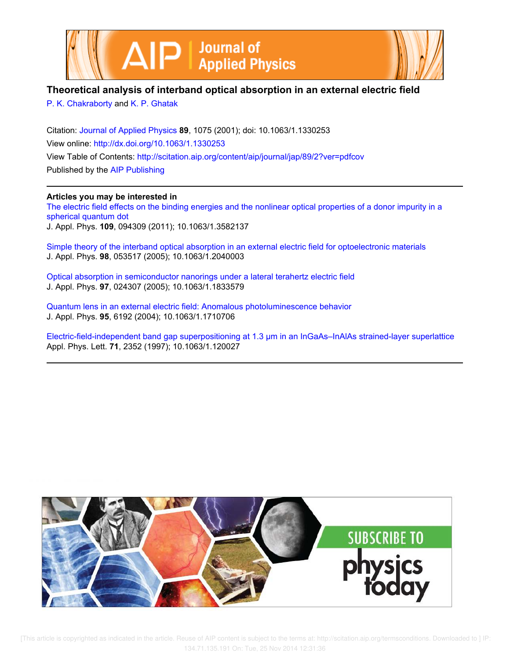

## **Theoretical analysis of interband optical absorption in an external electric field**

P. K. Chakraborty and K. P. Ghatak

Citation: Journal of Applied Physics **89**, 1075 (2001); doi: 10.1063/1.1330253 View online: http://dx.doi.org/10.1063/1.1330253 View Table of Contents: http://scitation.aip.org/content/aip/journal/jap/89/2?ver=pdfcov Published by the AIP Publishing

## **Articles you may be interested in**

The electric field effects on the binding energies and the nonlinear optical properties of a donor impurity in a spherical quantum dot J. Appl. Phys. **109**, 094309 (2011); 10.1063/1.3582137

Simple theory of the interband optical absorption in an external electric field for optoelectronic materials J. Appl. Phys. **98**, 053517 (2005); 10.1063/1.2040003

Optical absorption in semiconductor nanorings under a lateral terahertz electric field J. Appl. Phys. **97**, 024307 (2005); 10.1063/1.1833579

Quantum lens in an external electric field: Anomalous photoluminescence behavior J. Appl. Phys. **95**, 6192 (2004); 10.1063/1.1710706

Electric-field-independent band gap superpositioning at 1.3 μm in an InGaAs–InAlAs strained-layer superlattice Appl. Phys. Lett. **71**, 2352 (1997); 10.1063/1.120027

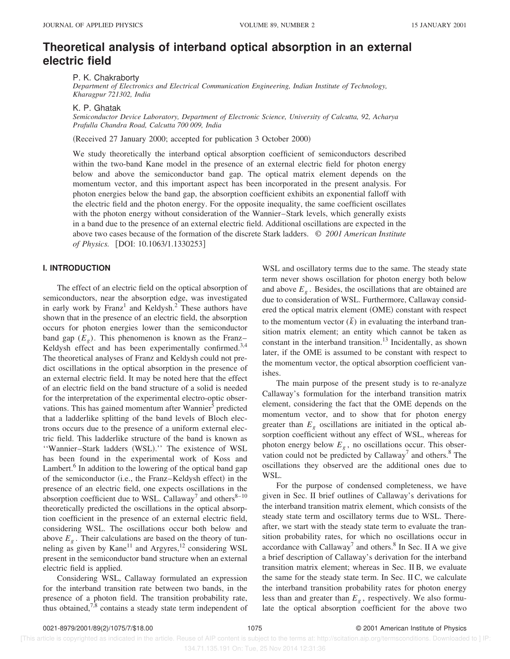# **Theoretical analysis of interband optical absorption in an external electric field**

P. K. Chakraborty

*Department of Electronics and Electrical Communication Engineering, Indian Institute of Technology, Kharagpur 721302, India*

K. P. Ghatak

*Semiconductor Device Laboratory, Department of Electronic Science, University of Calcutta, 92, Acharya Prafulla Chandra Road, Calcutta 700 009, India*

(Received 27 January 2000; accepted for publication 3 October 2000)

We study theoretically the interband optical absorption coefficient of semiconductors described within the two-band Kane model in the presence of an external electric field for photon energy below and above the semiconductor band gap. The optical matrix element depends on the momentum vector, and this important aspect has been incorporated in the present analysis. For photon energies below the band gap, the absorption coefficient exhibits an exponential falloff with the electric field and the photon energy. For the opposite inequality, the same coefficient oscillates with the photon energy without consideration of the Wannier–Stark levels, which generally exists in a band due to the presence of an external electric field. Additional oscillations are expected in the above two cases because of the formation of the discrete Stark ladders. © *2001 American Institute of Physics.* [DOI: 10.1063/1.1330253]

### **I. INTRODUCTION**

The effect of an electric field on the optical absorption of semiconductors, near the absorption edge, was investigated in early work by Franz<sup>1</sup> and Keldysh.<sup>2</sup> These authors have shown that in the presence of an electric field, the absorption occurs for photon energies lower than the semiconductor band gap  $(E_g)$ . This phenomenon is known as the Franz– Keldysh effect and has been experimentally confirmed.<sup>3,4</sup> The theoretical analyses of Franz and Keldysh could not predict oscillations in the optical absorption in the presence of an external electric field. It may be noted here that the effect of an electric field on the band structure of a solid is needed for the interpretation of the experimental electro-optic observations. This has gained momentum after Wannier<sup>5</sup> predicted that a ladderlike splitting of the band levels of Bloch electrons occurs due to the presence of a uniform external electric field. This ladderlike structure of the band is known as "Wannier-Stark ladders (WSL)." The existence of WSL has been found in the experimental work of Koss and Lambert.<sup>6</sup> In addition to the lowering of the optical band gap of the semiconductor (i.e., the Franz–Keldysh effect) in the presence of an electric field, one expects oscillations in the absorption coefficient due to WSL. Callaway<sup>7</sup> and others<sup>8-10</sup> theoretically predicted the oscillations in the optical absorption coefficient in the presence of an external electric field, considering WSL. The oscillations occur both below and above  $E<sub>g</sub>$ . Their calculations are based on the theory of tunneling as given by Kane<sup>11</sup> and Argyres,<sup>12</sup> considering WSL present in the semiconductor band structure when an external electric field is applied.

Considering WSL, Callaway formulated an expression for the interband transition rate between two bands, in the presence of a photon field. The transition probability rate, thus obtained, $7.8$  contains a steady state term independent of

WSL and oscillatory terms due to the same. The steady state term never shows oscillation for photon energy both below and above  $E<sub>g</sub>$ . Besides, the oscillations that are obtained are due to consideration of WSL. Furthermore, Callaway considered the optical matrix element (OME) constant with respect to the momentum vector  $(\overline{k})$  in evaluating the interband transition matrix element; an entity which cannot be taken as constant in the interband transition.<sup>13</sup> Incidentally, as shown later, if the OME is assumed to be constant with respect to the momentum vector, the optical absorption coefficient vanishes.

The main purpose of the present study is to re-analyze Callaway's formulation for the interband transition matrix element, considering the fact that the OME depends on the momentum vector, and to show that for photon energy greater than  $E_g$  oscillations are initiated in the optical absorption coefficient without any effect of WSL, whereas for photon energy below  $E<sub>g</sub>$ , no oscillations occur. This observation could not be predicted by Callaway<sup>7</sup> and others.<sup>8</sup> The oscillations they observed are the additional ones due to WSL.

For the purpose of condensed completeness, we have given in Sec. II brief outlines of Callaway's derivations for the interband transition matrix element, which consists of the steady state term and oscillatory terms due to WSL. Thereafter, we start with the steady state term to evaluate the transition probability rates, for which no oscillations occur in accordance with Callaway<sup>7</sup> and others.<sup>8</sup> In Sec. II A we give a brief description of Callaway's derivation for the interband transition matrix element; whereas in Sec. II B, we evaluate the same for the steady state term. In Sec. II C, we calculate the interband transition probability rates for photon energy less than and greater than *E<sup>g</sup>* , respectively. We also formulate the optical absorption coefficient for the above two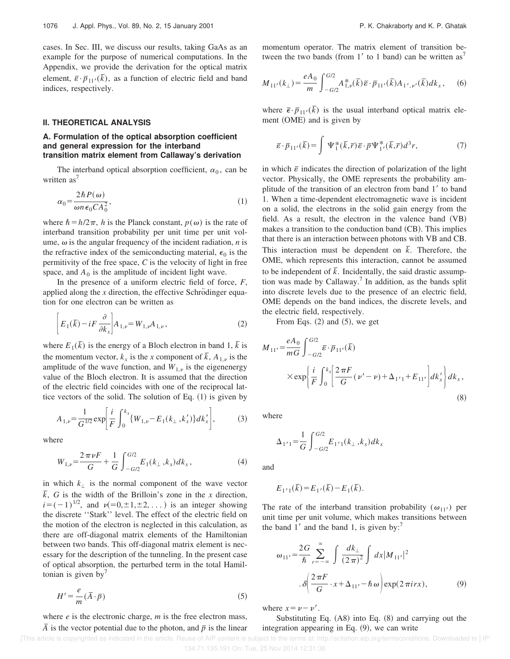cases. In Sec. III, we discuss our results, taking GaAs as an example for the purpose of numerical computations. In the Appendix, we provide the derivation for the optical matrix element,  $\bar{\varepsilon} \cdot \bar{p}_{11}(\bar{k})$ , as a function of electric field and band indices, respectively.

### **II. THEORETICAL ANALYSIS**

## **A. Formulation of the optical absorption coefficient and general expression for the interband transition matrix element from Callaway's derivation**

The interband optical absorption coefficient,  $\alpha_0$ , can be written as<sup>'</sup>

$$
\alpha_0 = \frac{2\hbar P(\omega)}{\omega n \epsilon_0 C A_0^2},\tag{1}
$$

where  $\hbar = h/2\pi$ , *h* is the Planck constant,  $p(\omega)$  is the rate of interband transition probability per unit time per unit volume,  $\omega$  is the angular frequency of the incident radiation,  $n$  is the refractive index of the semiconducting material,  $\epsilon_0$  is the permitivity of the free space, *C* is the velocity of light in free space, and  $A_0$  is the amplitude of incident light wave.

In the presence of a uniform electric field of force, *F*, applied along the  $x$  direction, the effective Schrödinger equation for one electron can be written as

$$
\[E_1(\bar{k}) - iF \frac{\partial}{\partial k_x}\]A_{1,\nu} = W_{1,\nu} A_{1,\nu}\,,\tag{2}
$$

where  $E_1(\overline{k})$  is the energy of a Bloch electron in band 1,  $\overline{k}$  is the momentum vector,  $k_x$  is the *x* component of  $\overline{k}$ ,  $A_{1,y}$  is the amplitude of the wave function, and  $W_{1,\nu}$  is the eigenenergy value of the Bloch electron. It is assumed that the direction of the electric field coincides with one of the reciprocal lattice vectors of the solid. The solution of Eq.  $(1)$  is given by

$$
A_{1,\nu} = \frac{1}{G^{1/2}} \exp\left[\frac{i}{F} \int_0^{k_x} \{W_{1,\nu} - E_1(k_\perp, k_x')\} dk_x'\right],\tag{3}
$$

where

$$
W_{1,\nu} = \frac{2\,\pi\,\nu\,F}{G} + \frac{1}{G} \int_{-G/2}^{G/2} E_1(k_\perp, k_x) dk_x, \tag{4}
$$

in which  $k_{\perp}$  is the normal component of the wave vector  $\overline{k}$ , *G* is the width of the Brilloin's zone in the *x* direction,  $i=(-1)^{1/2}$ , and  $\nu(=0,\pm 1,\pm 2,...)$  is an integer showing the discrete ''Stark'' level. The effect of the electric field on the motion of the electron is neglected in this calculation, as there are off-diagonal matrix elements of the Hamiltonian between two bands. This off-diagonal matrix element is necessary for the description of the tunneling. In the present case of optical absorption, the perturbed term in the total Hamiltonian is given by $\prime$ 

$$
H' = -\frac{e}{m} (\overline{A} \cdot \overline{p})
$$
 (5)

where *e* is the electronic charge, *m* is the free electron mass,

*A* is the vector potential due to the photon, and  $\bar{p}$  is the linear

momentum operator. The matrix element of transition between the two bands (from 1' to 1 band) can be written as<sup>7</sup>

$$
M_{11'}(k_{\perp}) = \frac{eA_0}{m} \int_{-G/2}^{G/2} A_{1,\nu}^*(\bar{k}) \bar{\varepsilon} \cdot \bar{p}_{11'}(\bar{k}) A_{1',\nu'}(\bar{k}) dk_x, \quad (6)
$$

where  $\vec{\epsilon} \cdot \vec{p}_{11'}(\vec{k})$  is the usual interband optical matrix element (OME) and is given by

$$
\overline{\varepsilon} \cdot \overline{p}_{11'}(\overline{k}) = \int \Psi_1^*(\overline{k}, \overline{r}) \overline{\varepsilon} \cdot \overline{p} \Psi_1^*(\overline{k}, \overline{r}) d^3 r,\tag{7}
$$

in which  $\bar{\varepsilon}$  indicates the direction of polarization of the light vector. Physically, the OME represents the probability amplitude of the transition of an electron from band 1' to band 1. When a time-dependent electromagnetic wave is incident on a solid, the electrons in the solid gain energy from the field. As a result, the electron in the valence band  $(VB)$ makes a transition to the conduction band  $(CB)$ . This implies that there is an interaction between photons with VB and CB. This interaction must be dependent on  $\overline{k}$ . Therefore, the OME, which represents this interaction, cannot be assumed to be independent of  $\overline{k}$ . Incidentally, the said drastic assumption was made by Callaway.<sup>7</sup> In addition, as the bands split into discrete levels due to the presence of an electric field, OME depends on the band indices, the discrete levels, and the electric field, respectively.

From Eqs.  $(2)$  and  $(5)$ , we get

$$
M_{11'} = \frac{eA_0}{mG} \int_{-G/2}^{G/2} \bar{\varepsilon} \cdot \bar{p}_{11'}(\bar{k})
$$
  
 
$$
\times \exp\left{\frac{i}{F} \int_{0}^{k_x} \left[ \frac{2\pi F}{G} (\nu' - \nu) + \Delta_{1'1} + E_{11'} \right] dk'_x \right\} dk_x,
$$
(8)

where

$$
\Delta_{1'1} {=} \frac{1}{G} \int_{-G/2}^{G/2} E_{1'1}(k_{\perp}\,,k_x) dk_x
$$

and

$$
E_{1'1}(\bar{k}) = E_{1'}(\bar{k}) - E_1(\bar{k}).
$$

The rate of the interband transition probability  $(\omega_{11})$  per unit time per unit volume, which makes transitions between the band  $1'$  and the band 1, is given by:<sup>7</sup>

$$
\omega_{11'} = \frac{2G}{\hbar} \sum_{r=-\infty}^{\infty} \int \frac{dk_{\perp}}{(2\pi)^2} \int dx |M_{11'}|^2
$$
  
. 
$$
\delta \left( \frac{2\pi F}{G} \cdot x + \Delta_{11'} - \hbar \omega \right) \exp(2\pi i r x), \tag{9}
$$

where  $x = \nu - \nu'$ .

Substituting Eq.  $(A8)$  into Eq.  $(8)$  and carrying out the integration appearing in Eq.  $(9)$ , we can write

 <sup>[</sup>This article is copyrighted as indicated in the article. Reuse of AIP content is subject to the terms at: http://scitation.aip.org/termsconditions. Downloaded to ] IP: 134.71.135.191 On: Tue, 25 Nov 2014 12:31:36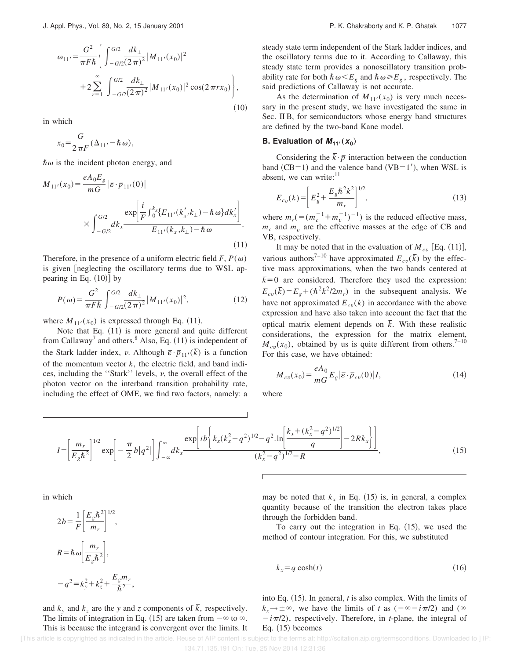$$
\omega_{11'} = \frac{G^2}{\pi F \hbar} \left\{ \int_{-G/2}^{G/2} \frac{dk_\perp}{(2\pi)^2} |M_{11'}(x_0)|^2 + 2 \sum_{r=1}^{\infty} \int_{-G/2}^{G/2} \frac{dk_\perp}{(2\pi)^2} |M_{11'}(x_0)|^2 \cos(2\pi rx_0) \right\},\tag{10}
$$

in which

$$
x_0 = \frac{G}{2\pi F} (\Delta_{11'} - \hbar \omega),
$$

 $\hbar\omega$  is the incident photon energy, and

$$
M_{11'}(x_0) = \frac{eA_0E_g}{mG} |\bar{\varepsilon} \cdot \bar{p}_{11'}(0)|
$$
  
 
$$
\times \int_{-G/2}^{G/2} dk_x \frac{\exp\left[\frac{i}{F} \int_0^{k_x} \{E_{11'}(k'_x, k_\perp) - \hbar \omega\} dk'_x\right]}{E_{11'}(k_x, k_\perp) - \hbar \omega}.
$$
 (11)

Therefore, in the presence of a uniform electric field  $F, P(\omega)$ is given [neglecting the oscillatory terms due to WSL appearing in Eq.  $(10)$ ] by

$$
P(\omega) = \frac{G^2}{\pi F \hbar} \int_{-G/2}^{G/2} \frac{dk_{\perp}}{(2\pi)^2} |M_{11'}(x_0)|^2,
$$
 (12)

where  $M_{11'}(x_0)$  is expressed through Eq. (11).

Note that Eq.  $(11)$  is more general and quite different from Callaway<sup>7</sup> and others.<sup>8</sup> Also, Eq.  $(11)$  is independent of the Stark ladder index,  $\nu$ . Although  $\bar{\varepsilon} \cdot \bar{p}_{11'}(\bar{k})$  is a function of the momentum vector  $\bar{k}$ , the electric field, and band indices, including the "Stark" levels,  $\nu$ , the overall effect of the photon vector on the interband transition probability rate, including the effect of OME, we find two factors, namely: a steady state term independent of the Stark ladder indices, and the oscillatory terms due to it. According to Callaway, this steady state term provides a nonoscillatory transition probability rate for both  $\hbar \omega \leq E_g$  and  $\hbar \omega \geq E_g$ , respectively. The said predictions of Callaway is not accurate.

As the determination of  $M_{11'}(x_0)$  is very much necessary in the present study, we have investigated the same in Sec. II B, for semiconductors whose energy band structures are defined by the two-band Kane model.

## **B.** Evaluation of  $M_{11'}(x_0)$

Considering the  $\overline{k} \cdot \overline{p}$  interaction between the conduction band  $(CB=1)$  and the valence band  $(VB=1')$ , when WSL is absent, we can write: $11$ 

$$
E_{cv}(\bar{k}) = \left[ E_g^2 + \frac{E_g \hbar^2 k^2}{m_r} \right]^{1/2},\tag{13}
$$

where  $m_r$  (= $(m_c^{-1} + m_v^{-1})^{-1}$ ) is the reduced effective mass,  $m_c$  and  $m_v$  are the effective masses at the edge of CB and VB, respectively.

It may be noted that in the evaluation of  $M_{cv}$  [Eq. (11)], various authors<sup>7–10</sup> have approximated  $E_{cv}(\bar{k})$  by the effective mass approximations, when the two bands centered at  $\bar{k}=0$  are considered. Therefore they used the expression:  $E_{cv}(\bar{k}) = E_g + (\hbar^2 k^2 / 2m_r)$  in the subsequent analysis. We have not approximated  $E_{cv}(\bar{k})$  in accordance with the above expression and have also taken into account the fact that the optical matrix element depends on  $\overline{k}$ . With these realistic considerations, the expression for the matrix element,  $M_{cv}(x_0)$ , obtained by us is quite different from others.<sup>7–10</sup> For this case, we have obtained:

$$
M_{cv}(x_0) = \frac{eA_0}{mG} E_g |\overline{\varepsilon} \cdot \overline{p}_{cv}(0)|I,\tag{14}
$$

where

$$
I = \left[\frac{m_r}{E_g \hbar^2}\right]^{1/2} \exp\left[-\frac{\pi}{2}b|q^2|\right] \int_{-\infty}^{\infty} dk_x \frac{\exp\left[i b \left(k_x(k_x^2 - q^2)^{1/2} - q^2 \cdot \ln\left[\frac{k_x + (k_x^2 - q^2)^{1/2}}{q}\right] - 2Rk_x\right]}{(k_x^2 - q^2)^{1/2} - R}\right],\tag{15}
$$

in which

 $2b = \frac{1}{5}$  $\frac{1}{F}\left[\frac{E_g\hbar^2}{m_r}\right]$  $\left[\frac{g^{n}f}{m_{r}}\right]$ 1/2 ,  $R = \hbar \omega \frac{m_r}{F \cdot \hbar}$  $\left[\frac{m_r}{E_g\hbar^2}\right],$  $-q^{2} = k_{y}^{2} + k_{z}^{2} + \frac{E_{g}m_{r}}{h^{2}}$  $\frac{\delta}{\hbar^2},$ 

and  $k_y$  and  $k_z$  are the *y* and *z* components of  $\bar{k}$ , respectively. The limits of integration in Eq. (15) are taken from  $-\infty$  to  $\infty$ . This is because the integrand is convergent over the limits. It

may be noted that  $k_x$  in Eq. (15) is, in general, a complex quantity because of the transition the electron takes place through the forbidden band.

To carry out the integration in Eq.  $(15)$ , we used the method of contour integration. For this, we substituted

$$
k_x = q \cosh(t) \tag{16}
$$

into Eq.  $(15)$ . In general, *t* is also complex. With the limits of  $k_x \rightarrow \pm \infty$ , we have the limits of *t* as  $(-\infty - i\pi/2)$  and  $(\infty$  $-i\pi/2$ , respectively. Therefore, in *t*-plane, the integral of Eq.  $(15)$  becomes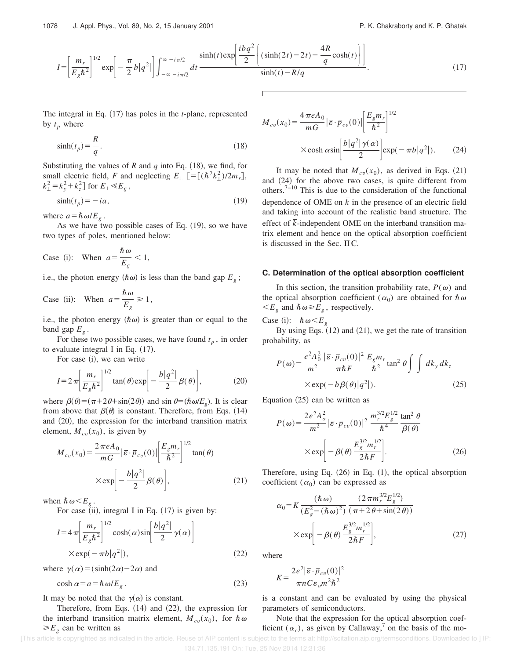$$
I = \left[\frac{m_r}{E_g \hbar^2}\right]^{1/2} \exp\left[-\frac{\pi}{2}b|q^2|\right] \int_{-\infty - i\pi/2}^{\infty - i\pi/2} dt \frac{\sinh(t) \exp\left[\frac{ibq^2}{2}\left\{(\sinh(2t) - 2t) - \frac{4R}{q}\cosh(t)\right\}\right]}{\sinh(t) - R/q}.
$$
 (17)

*Mc<sup>v</sup>*

The integral in Eq. (17) has poles in the *t*-plane, represented by  $t_p$  where

$$
\sinh(t_p) = \frac{R}{q}.\tag{18}
$$

Substituting the values of *R* and *q* into Eq.  $(18)$ , we find, for small electric field, *F* and neglecting  $E_{\perp}$   $[ = [(\hbar^2 k_{\perp}^2)/2m_r ]$ ,  $k_{\perp}^2 = k_y^2 + k_z^2$  for  $E_{\perp} \ll E_g$ ,

$$
\sinh(t_p) = -ia,\tag{19}
$$

where  $a = \hbar \omega/E_g$ .

As we have two possible cases of Eq.  $(19)$ , so we have two types of poles, mentioned below:

Case (i): When 
$$
a = \frac{\hbar \omega}{E_g} < 1
$$
,

i.e., the photon energy  $(\hbar \omega)$  is less than the band gap  $E_g$ ;

Case (ii): When 
$$
a = \frac{\hbar \omega}{E_g} \ge 1
$$
,

i.e., the photon energy  $(\hbar \omega)$  is greater than or equal to the band gap  $E<sub>g</sub>$ .

For these two possible cases, we have found  $t_p$ , in order to evaluate integral I in Eq.  $(17)$ .

For case (i), we can write

$$
I = 2\pi \left[ \frac{m_r}{E_g \hbar^2} \right]^{1/2} \tan(\theta) \exp \left[ -\frac{b|q^2|}{2} \beta(\theta) \right],\tag{20}
$$

where  $\beta(\theta) = (\pi + 2\theta + \sin(2\theta))$  and  $\sin \theta = (\hbar \omega/E_g)$ . It is clear from above that  $\beta(\theta)$  is constant. Therefore, from Eqs. (14) and  $(20)$ , the expression for the interband transition matrix element,  $M_{cv}(x_0)$ , is given by

$$
M_{cv}(x_0) = \frac{2 \pi e A_0}{mG} |\bar{\varepsilon} \cdot \bar{p}_{cv}(0)| \left[ \frac{E_g m_r}{\hbar^2} \right]^{1/2} \tan(\theta)
$$

$$
\times \exp \left[ -\frac{b|q^2|}{2} \beta(\theta) \right], \tag{21}
$$

when  $\hbar \omega \ll E_g$ .

For case  $(ii)$ , integral I in Eq.  $(17)$  is given by:

$$
I = 4 \pi \left[ \frac{m_r}{E_g \hbar^2} \right]^{1/2} \cosh(\alpha) \sin \left[ \frac{b|q^2|}{2} \gamma(\alpha) \right]
$$
  
× exp(-  $\pi b |q^2|$ ), (22)

where  $\gamma(\alpha) = (\sinh(2\alpha)-2\alpha)$  and

$$
\cosh \alpha = a = \hbar \,\omega / E_g \,. \tag{23}
$$

It may be noted that the  $\gamma(\alpha)$  is constant.

Therefore, from Eqs.  $(14)$  and  $(22)$ , the expression for the interband transition matrix element,  $M_{cv}(x_0)$ , for  $\hbar \omega$  $\geq E_g$  can be written as

$$
I_{cv}(x_0) = \frac{4 \pi e A_0}{mG} |\bar{\varepsilon} \cdot \bar{p}_{cv}(0)| \left[ \frac{E_g m_r}{\hbar^2} \right]^{1/2}
$$
  
× cosh  $\alpha$  sin $\left[ \frac{b|q^2|\gamma(\alpha)}{2} \right]$  exp $(-\pi b|q^2|)$ . (24)

It may be noted that  $M_{cv}(x_0)$ , as derived in Eqs. (21) and  $(24)$  for the above two cases, is quite different from others.<sup>7–10</sup> This is due to the consideration of the functional dependence of OME on  $\overline{k}$  in the presence of an electric field and taking into account of the realistic band structure. The effect of  $\bar{k}$ -independent OME on the interband transition matrix element and hence on the optical absorption coefficient is discussed in the Sec. II C.

#### **C. Determination of the optical absorption coefficient**

In this section, the transition probability rate,  $P(\omega)$  and the optical absorption coefficient ( $\alpha_0$ ) are obtained for  $\hbar \omega$  $\lt E_g$  and  $\hbar \omega \ge E_g$ , respectively.

Case (i):  $\hbar \omega \leq E_g$ 

By using Eqs.  $(12)$  and  $(21)$ , we get the rate of transition probability, as

$$
P(\omega) = \frac{e^2 A_0^2}{m^2} \frac{|\bar{\varepsilon} \cdot \bar{p}_{cv}(0)|^2}{\pi \hbar F} \frac{E_g m_r}{\hbar^2} \tan^2 \theta \int \int dk_y dk_z
$$
  
× exp $(-b\beta(\theta)|q^2|).$  (25)

Equation  $(25)$  can be written as

$$
P(\omega) = \frac{2e^2A_o^2}{m^2} |\bar{\varepsilon} \cdot \bar{p}_{cv}(0)|^2 \frac{m_r^{3/2} E_g^{1/2}}{\hbar^4} \frac{\tan^2 \theta}{\beta(\theta)}
$$

$$
\times \exp\left[-\beta(\theta) \frac{E_g^{3/2} m_r^{1/2}}{2\hbar F}\right].
$$
 (26)

Therefore, using Eq.  $(26)$  in Eq.  $(1)$ , the optical absorption coefficient  $(\alpha_0)$  can be expressed as

$$
\alpha_0 = K \frac{(\hbar \omega)}{(E_g^2 - (\hbar \omega)^2)} \frac{(2 \pi m_r^{3/2} E_g^{1/2})}{(\pi + 2 \theta + \sin(2\theta))} \times \exp\left[-\beta(\theta) \frac{E_g^{3/2} m_r^{1/2}}{2\hbar F}\right],
$$
\n(27)

where

$$
K = \frac{2e^2|\bar{\varepsilon} \cdot \bar{p}_{cv}(0)|^2}{\pi n C \varepsilon_o m^2 \hbar^2}
$$

is a constant and can be evaluated by using the physical parameters of semiconductors.

Note that the expression for the optical absorption coefficient  $(\alpha_c)$ , as given by Callaway,<sup>7</sup> on the basis of the mo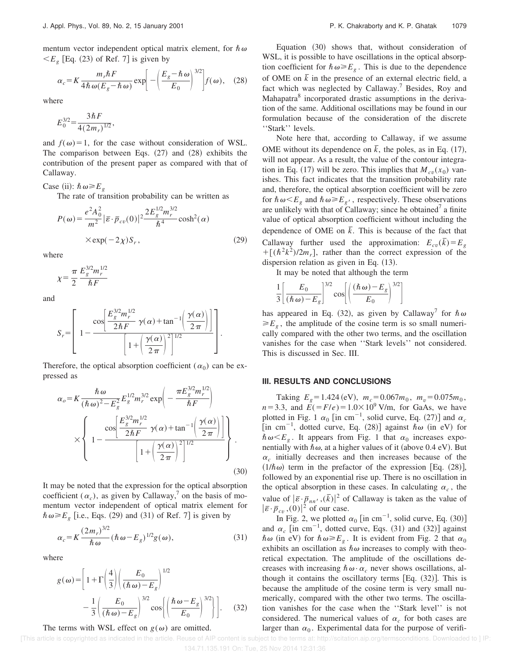mentum vector independent optical matrix element, for  $\hbar \omega$  $\langle E_g$  [Eq. (23) of Ref. 7] is given by

$$
\alpha_c = K \frac{m_r \hbar F}{4\hbar \omega (E_g - \hbar \omega)} \exp \left[ -\left(\frac{E_g - \hbar \omega}{E_0}\right)^{3/2} \right] f(\omega), \quad (28)
$$

where

$$
E_0^{3/2} = \frac{3\hbar F}{4(2m_r)^{1/2}},
$$

and  $f(\omega) = 1$ , for the case without consideration of WSL. The comparison between Eqs.  $(27)$  and  $(28)$  exhibits the contribution of the present paper as compared with that of Callaway.

Case (ii):  $\hbar \omega \geq E_g$ 

The rate of transition probability can be written as

$$
P(\omega) = \frac{e^2 A_0^2}{m^2} |\bar{\varepsilon} \cdot \bar{p}_{cv}(0)|^2 \frac{2E_g^{1/2} m_r^{3/2}}{\hbar^4} \cosh^2(\alpha)
$$
  
× exp(-2 $\chi$ )S<sub>r</sub>, (29)

where

$$
\chi = \frac{\pi}{2} \frac{E_g^{3/2} m_r^{1/2}}{\hbar F}
$$

and

$$
S_r = \left[ 1 - \frac{\cos \left[\frac{E_g^{3/2} m_r^{1/2}}{2\hbar F} \gamma(\alpha) + \tan^{-1} \left(\frac{\gamma(\alpha)}{2\pi}\right)\right]}{\left[ 1 + \left(\frac{\gamma(\alpha)}{2\pi}\right)^2\right]^{1/2}} \right].
$$

Therefore, the optical absorption coefficient  $(\alpha_0)$  can be expressed as

$$
\alpha_o = K \frac{\hbar \omega}{(\hbar \omega)^2 - E_g^2} E_g^{1/2} m_r^{3/2} \exp\left(-\frac{\pi E_g^{3/2} m_r^{1/2}}{\hbar F}\right)
$$

$$
\times \left\{ 1 - \frac{\cos\left[\frac{E_g^{3/2} m_r^{1/2}}{2\hbar F} \gamma(\alpha) + \tan^{-1}\left(\frac{\gamma(\alpha)}{2\pi}\right)\right]}{\left[1 + \left(\frac{\gamma(\alpha)}{2\pi}\right)^2\right]^{1/2}} \right\}.
$$
(30)

It may be noted that the expression for the optical absorption coefficient  $(\alpha_c)$ , as given by Callaway,<sup>7</sup> on the basis of momentum vector independent of optical matrix element for  $\hbar \omega \ge E_g$  [i.e., Eqs. (29) and (31) of Ref. 7] is given by

$$
\alpha_c = K \frac{(2m_r)^{3/2}}{\hbar \omega} (\hbar \omega - E_g)^{1/2} g(\omega), \qquad (31)
$$

where

$$
g(\omega) = \left[1 + \Gamma\left(\frac{4}{3}\right) \left(\frac{E_0}{(\hbar \omega) - E_g}\right)^{1/2} - \frac{1}{3} \left(\frac{E_0}{(\hbar \omega) - E_g}\right)^{3/2} \cos\left(\left(\frac{\hbar \omega - E_g}{E_0}\right)^{3/2}\right)\right].
$$
 (32)

#### The terms with WSL effect on  $g(\omega)$  are omitted.

Equation  $(30)$  shows that, without consideration of WSL, it is possible to have oscillations in the optical absorption coefficient for  $\hbar \omega \ge E_g$ . This is due to the dependence of OME on  $\overline{k}$  in the presence of an external electric field, a fact which was neglected by Callaway.<sup>7</sup> Besides, Roy and Mahapatra<sup>8</sup> incorporated drastic assumptions in the derivation of the same. Additional oscillations may be found in our formulation because of the consideration of the discrete "Stark" levels.

Note here that, according to Callaway, if we assume OME without its dependence on  $\bar{k}$ , the poles, as in Eq. (17), will not appear. As a result, the value of the contour integration in Eq. (17) will be zero. This implies that  $M_{cv}(x_0)$  vanishes. This fact indicates that the transition probability rate and, therefore, the optical absorption coefficient will be zero for  $\hbar \omega \leq E_g$  and  $\hbar \omega \geq E_g$ , respectively. These observations are unlikely with that of Callaway; since he obtained<sup>7</sup> a finite value of optical absorption coefficient without including the dependence of OME on  $\overline{k}$ . This is because of the fact that Callaway further used the approximation:  $E_{cv}(\bar{k}) = E_g$  $+[(\hbar^2 k^2)/2m_r]$ , rather than the correct expression of the dispersion relation as given in Eq.  $(13)$ .

It may be noted that although the term

$$
\frac{1}{3} \left[ \frac{E_0}{(\hbar \omega) - E_g} \right]^{3/2} \cos \left[ \left( \frac{(\hbar \omega) - E_g}{E_0} \right)^{3/2} \right]
$$

has appeared in Eq. (32), as given by Callaway<sup>7</sup> for  $\hbar \omega$  $\geq E_g$ , the amplitude of the cosine term is so small numerically compared with the other two terms, and the oscillation vanishes for the case when ''Stark levels'' not considered. This is discussed in Sec. III.

#### **III. RESULTS AND CONCLUSIONS**

Taking  $E_g = 1.424 \text{ (eV)}$ ,  $m_c = 0.067 m_0$ ,  $m_v = 0.075 m_0$ ,  $n=3.3$ , and  $E(E) = 1.0 \times 10^9$  V/m, for GaAs, we have plotted in Fig. 1  $\alpha_0$  [in cm<sup>-1</sup>, solid curve, Eq. (27)] and  $\alpha_c$ [in cm<sup>-1</sup>, dotted curve, Eq. (28)] against  $\hbar \omega$  (in eV) for  $\hbar \omega \leq E_g$ . It appears from Fig. 1 that  $\alpha_0$  increases exponentially with  $\hbar \omega$ , at a higher values of it (above 0.4 eV). But  $\alpha_c$  initially decreases and then increases because of the  $(1/\hbar \omega)$  term in the prefactor of the expression [Eq. (28)], followed by an exponential rise up. There is no oscillation in the optical absorption in these cases. In calculating  $\alpha_c$ , the value of  $|\bar{\varepsilon} \cdot \bar{p}_{nn'}(\bar{k})|^2$  of Callaway is taken as the value of  $\left|\bar{\varepsilon}\cdot\bar{p}_{cv}\right\rangle\left(0\right)\right|^{2}$  of our case.

In Fig. 2, we plotted  $\alpha_0$  [in cm<sup>-1</sup>, solid curve, Eq. (30)] and  $\alpha_c$  [in cm<sup>-1</sup>, dotted curve, Eqs. (31) and (32)] against  $\hbar \omega$  (in eV) for  $\hbar \omega \ge E_g$ . It is evident from Fig. 2 that  $\alpha_0$ exhibits an oscillation as  $\hbar \omega$  increases to comply with theoretical expectation. The amplitude of the oscillations decreases with increasing  $\hbar \omega \cdot \alpha_c$  never shows oscillations, although it contains the oscillatory terms  $[Eq. (32)].$  This is because the amplitude of the cosine term is very small numerically, compared with the other two terms. The oscillation vanishes for the case when the ''Stark level'' is not considered. The numerical values of  $\alpha_c$  for both cases are larger than  $\alpha_0$ . Experimental data for the purpose of verifi-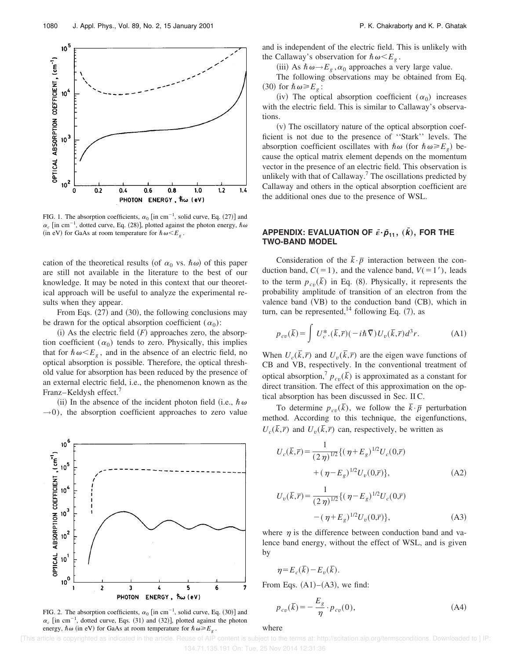

FIG. 1. The absorption coefficients,  $\alpha_0$  [in cm<sup>-1</sup>, solid curve, Eq. (27)] and  $\alpha_c$  [in cm<sup>-1</sup>, dotted curve, Eq. (28)], plotted against the photon energy,  $\hbar \omega$  $(i\text{ in } eV)$  for GaAs at room temperature for  $\hbar \omega \ll E_g$ .

cation of the theoretical results (of  $\alpha_0$  vs.  $\hbar \omega$ ) of this paper are still not available in the literature to the best of our knowledge. It may be noted in this context that our theoretical approach will be useful to analyze the experimental results when they appear.

From Eqs.  $(27)$  and  $(30)$ , the following conclusions may be drawn for the optical absorption coefficient  $(\alpha_0)$ :

 $(i)$  As the electric field  $(F)$  approaches zero, the absorption coefficient  $(\alpha_0)$  tends to zero. Physically, this implies that for  $\hbar \omega \leq E_g$ , and in the absence of an electric field, no optical absorption is possible. Therefore, the optical threshold value for absorption has been reduced by the presence of an external electric field, i.e., the phenomenon known as the Franz–Keldysh effect.<sup>7</sup>

(ii) In the absence of the incident photon field (i.e.,  $\hbar \omega$ )  $\rightarrow$ 0), the absorption coefficient approaches to zero value



FIG. 2. The absorption coefficients,  $\alpha_0$  [in cm<sup>-1</sup>, solid curve, Eq. (30)] and  $\alpha_c$  [in cm<sup>-1</sup>, dotted curve, Eqs. (31) and (32)], plotted against the photon energy,  $\hbar \omega$  (in eV) for GaAs at room temperature for  $\hbar \omega \ge E_g$ .

and is independent of the electric field. This is unlikely with the Callaway's observation for  $\hbar \omega \leq E_g$ .

(iii) As  $\hbar \omega \rightarrow E_g$ ,  $\alpha_0$  approaches a very large value.

The following observations may be obtained from Eq.  $(30)$  for  $\hbar \omega \geq E_g$ :

(iv) The optical absorption coefficient  $(\alpha_0)$  increases with the electric field. This is similar to Callaway's observations.

 $(v)$  The oscillatory nature of the optical absorption coefficient is not due to the presence of ''Stark'' levels. The absorption coefficient oscillates with  $\hbar \omega$  (for  $\hbar \omega \geq E_g$ ) because the optical matrix element depends on the momentum vector in the presence of an electric field. This observation is unlikely with that of Callaway.<sup>7</sup> The oscillations predicted by Callaway and others in the optical absorption coefficient are the additional ones due to the presence of WSL.

## **APPENDIX: EVALUATION OF**  $\bar{\epsilon} \cdot \bar{p}_{11}$ **,**  $(\bar{k})$ **, FOR THE TWO-BAND MODEL**

Consideration of the  $\bar{k} \cdot \bar{p}$  interaction between the conduction band,  $C(=1)$ , and the valence band,  $V(=1)$ , leads to the term  $p_{cv}(\bar{k})$  in Eq. (8). Physically, it represents the probability amplitude of transition of an electron from the valence band  $(VB)$  to the conduction band  $(CB)$ , which in turn, can be represented,<sup>14</sup> following Eq.  $(7)$ , as

$$
p_{cv}(\overline{k}) = \int U_c^* . (\overline{k}, \overline{r}) (-i\hbar \overline{\nabla}) U_v(\overline{k}, \overline{r}) d^3 r.
$$
 (A1)

When  $U_c(\bar{k}, \bar{r})$  and  $U_v(\bar{k}, \bar{r})$  are the eigen wave functions of CB and VB, respectively. In the conventional treatment of optical absorption,<sup>7</sup>  $p_{cv}(\overline{k})$  is approximated as a constant for direct transition. The effect of this approximation on the optical absorption has been discussed in Sec. II C.

To determine  $p_{cv}(\overline{k})$ , we follow the  $\overline{k} \cdot \overline{p}$  perturbation method. According to this technique, the eigenfunctions,  $U_c(\bar{k}, \bar{r})$  and  $U_v(\bar{k}, \bar{r})$  can, respectively, be written as

$$
U_c(\bar{k}, \bar{r}) = \frac{1}{(2 \eta)^{1/2}} \{ (\eta + E_g)^{1/2} U_c(0, \bar{r}) + (\eta - E_g)^{1/2} U_v(0, \bar{r}) \},
$$
(A2)

$$
U_v(\overline{k}, \overline{r}) = \frac{1}{(2 \eta)^{1/2}} \{ (\eta - E_g)^{1/2} U_c(0, \overline{r})
$$

$$
- (\eta + E_g)^{1/2} U_v(0, \overline{r}) \}, \tag{A3}
$$

where  $\eta$  is the difference between conduction band and valence band energy, without the effect of WSL, and is given by

$$
\eta \!=\! E_c(\bar{k}) \!-\! E_v(\bar{k}).
$$

From Eqs.  $(A1)–(A3)$ , we find:

$$
p_{cv}(\overline{k}) = -\frac{E_g}{\eta} \cdot p_{cv}(0),\tag{A4}
$$

where